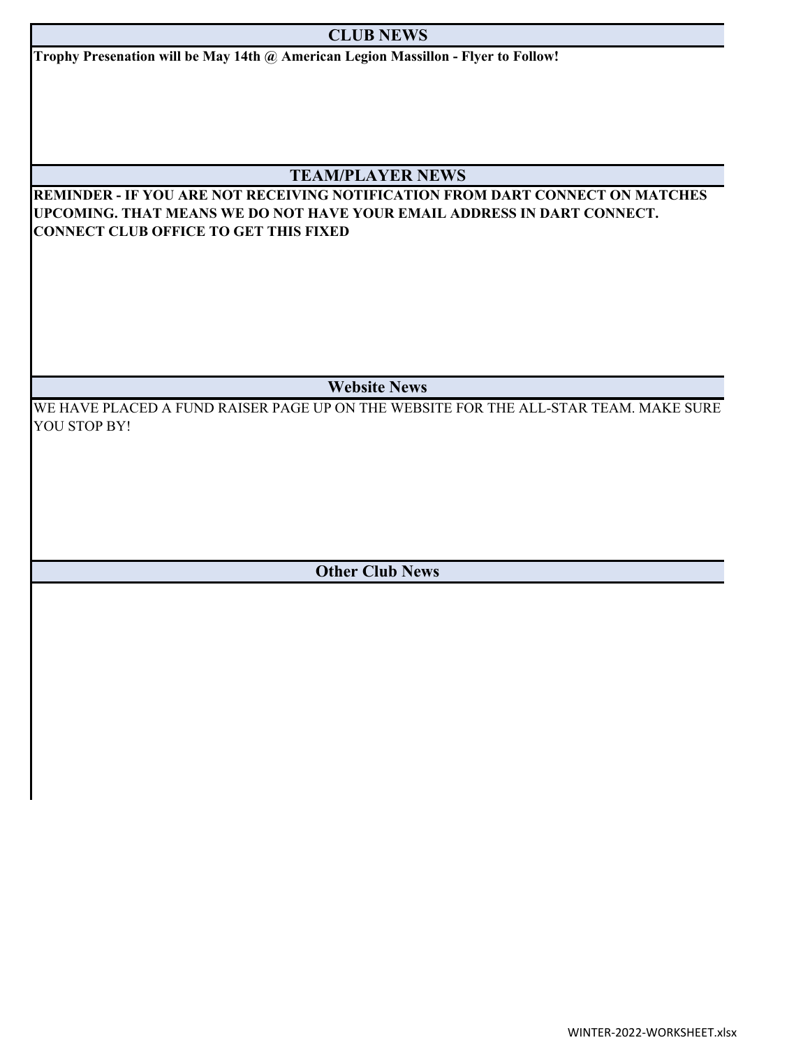## **CLUB NEWS**

**Trophy Presenation will be May 14th @ American Legion Massillon - Flyer to Follow!**

## **TEAM/PLAYER NEWS**

**REMINDER - IF YOU ARE NOT RECEIVING NOTIFICATION FROM DART CONNECT ON MATCHES UPCOMING. THAT MEANS WE DO NOT HAVE YOUR EMAIL ADDRESS IN DART CONNECT. CONNECT CLUB OFFICE TO GET THIS FIXED**

**Website News**

WE HAVE PLACED A FUND RAISER PAGE UP ON THE WEBSITE FOR THE ALL-STAR TEAM. MAKE SURE YOU STOP BY!

**Other Club News**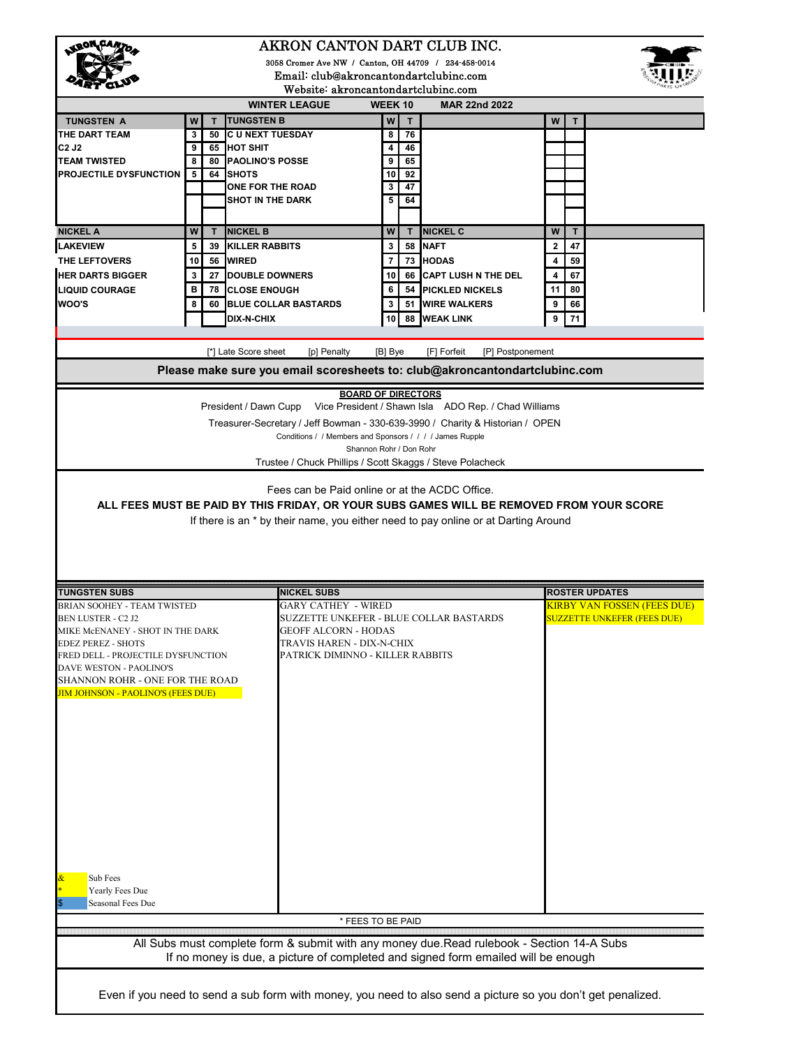| AKRON CANTON DART CLUB INC.                                                        |                                                      |                                                                                                                                                                                                                                                                                                                             |                           |          |                                                      |        |                                                             |  |  |
|------------------------------------------------------------------------------------|------------------------------------------------------|-----------------------------------------------------------------------------------------------------------------------------------------------------------------------------------------------------------------------------------------------------------------------------------------------------------------------------|---------------------------|----------|------------------------------------------------------|--------|-------------------------------------------------------------|--|--|
|                                                                                    | 3058 Cromer Ave NW / Canton, OH 44709 / 234-458-0014 |                                                                                                                                                                                                                                                                                                                             |                           |          |                                                      |        |                                                             |  |  |
| Email: club@akroncantondartclubinc.com<br>Website: akroncantondartclubinc.com      |                                                      |                                                                                                                                                                                                                                                                                                                             |                           |          |                                                      |        |                                                             |  |  |
| <b>WINTER LEAGUE</b><br>WEEK 10<br><b>MAR 22nd 2022</b>                            |                                                      |                                                                                                                                                                                                                                                                                                                             |                           |          |                                                      |        |                                                             |  |  |
| <b>TUNGSTEN A</b>                                                                  | W<br>$\mathbf T$                                     | <b>TUNGSTEN B</b>                                                                                                                                                                                                                                                                                                           | W                         | т        |                                                      | W      | т                                                           |  |  |
| THE DART TEAM                                                                      | 3<br>50                                              | <b>CU NEXT TUESDAY</b>                                                                                                                                                                                                                                                                                                      | 8                         | 76       |                                                      |        |                                                             |  |  |
| C <sub>2</sub> J <sub>2</sub>                                                      | 9<br>65                                              | <b>HOT SHIT</b>                                                                                                                                                                                                                                                                                                             | $\overline{\mathbf{4}}$   | 46       |                                                      |        |                                                             |  |  |
| <b>TEAM TWISTED</b><br><b>PROJECTILE DYSFUNCTION</b>                               | 8<br>80<br>5<br>64                                   | <b>PAOLINO'S POSSE</b><br><b>SHOTS</b>                                                                                                                                                                                                                                                                                      | 9<br>10                   | 65<br>92 |                                                      |        |                                                             |  |  |
|                                                                                    |                                                      | ONE FOR THE ROAD                                                                                                                                                                                                                                                                                                            | 3                         | 47       |                                                      |        |                                                             |  |  |
|                                                                                    |                                                      | <b>SHOT IN THE DARK</b>                                                                                                                                                                                                                                                                                                     | 5                         | 64       |                                                      |        |                                                             |  |  |
|                                                                                    |                                                      |                                                                                                                                                                                                                                                                                                                             |                           |          |                                                      |        |                                                             |  |  |
| <b>NICKEL A</b>                                                                    | W<br>$\mathbf{T}$                                    | <b>NICKEL B</b>                                                                                                                                                                                                                                                                                                             | W                         | T        | <b>NICKEL C</b>                                      | W      | T                                                           |  |  |
| <b>LAKEVIEW</b><br>THE LEFTOVERS                                                   | 5<br>39<br>10<br>56                                  | <b>KILLER RABBITS</b><br><b>WIRED</b>                                                                                                                                                                                                                                                                                       | 3<br>$\overline{7}$       |          | 58 NAFT<br>73 HODAS                                  | 2<br>4 | 47<br>59                                                    |  |  |
| <b>HER DARTS BIGGER</b>                                                            | 3<br>27                                              | DOUBLE DOWNERS                                                                                                                                                                                                                                                                                                              | 10                        |          | 66 CAPT LUSH N THE DEL                               | 4      | 67                                                          |  |  |
| <b>LIQUID COURAGE</b>                                                              | в                                                    | <b>78 CLOSE ENOUGH</b>                                                                                                                                                                                                                                                                                                      | 6                         |          | <b>54 PICKLED NICKELS</b>                            | 11     | 80                                                          |  |  |
| WOO'S                                                                              | 60<br>8                                              | <b>BLUE COLLAR BASTARDS</b>                                                                                                                                                                                                                                                                                                 | 3                         |          | 51 WIRE WALKERS                                      | 9      | 66                                                          |  |  |
|                                                                                    |                                                      | <b>DIX-N-CHIX</b>                                                                                                                                                                                                                                                                                                           | 10                        | 88       | <b>WEAK LINK</b>                                     | 9      | 71                                                          |  |  |
|                                                                                    |                                                      |                                                                                                                                                                                                                                                                                                                             |                           |          |                                                      |        |                                                             |  |  |
|                                                                                    |                                                      | [*] Late Score sheet<br>[p] Penalty                                                                                                                                                                                                                                                                                         | [B] Bye                   |          | [F] Forfeit<br>[P] Postponement                      |        |                                                             |  |  |
|                                                                                    |                                                      | Please make sure you email scoresheets to: club@akroncantondartclubinc.com                                                                                                                                                                                                                                                  |                           |          |                                                      |        |                                                             |  |  |
|                                                                                    |                                                      |                                                                                                                                                                                                                                                                                                                             | <b>BOARD OF DIRECTORS</b> |          |                                                      |        |                                                             |  |  |
|                                                                                    |                                                      | President / Dawn Cupp                                                                                                                                                                                                                                                                                                       |                           |          | Vice President / Shawn Isla ADO Rep. / Chad Williams |        |                                                             |  |  |
|                                                                                    |                                                      | Treasurer-Secretary / Jeff Bowman - 330-639-3990 / Charity & Historian / OPEN                                                                                                                                                                                                                                               |                           |          |                                                      |        |                                                             |  |  |
|                                                                                    |                                                      | Conditions / / Members and Sponsors / / / / James Rupple                                                                                                                                                                                                                                                                    |                           |          |                                                      |        |                                                             |  |  |
|                                                                                    |                                                      | Trustee / Chuck Phillips / Scott Skaggs / Steve Polacheck                                                                                                                                                                                                                                                                   | Shannon Rohr / Don Rohr   |          |                                                      |        |                                                             |  |  |
|                                                                                    |                                                      |                                                                                                                                                                                                                                                                                                                             |                           |          |                                                      |        |                                                             |  |  |
| If there is an * by their name, you either need to pay online or at Darting Around |                                                      |                                                                                                                                                                                                                                                                                                                             |                           |          |                                                      |        |                                                             |  |  |
|                                                                                    |                                                      |                                                                                                                                                                                                                                                                                                                             |                           |          |                                                      |        |                                                             |  |  |
|                                                                                    |                                                      |                                                                                                                                                                                                                                                                                                                             |                           |          |                                                      |        |                                                             |  |  |
| <b>TUNGSTEN SUBS</b><br>BRIAN SOOHEY - TEAM TWISTED                                |                                                      | <b>NICKEL SUBS</b><br><b>GARY CATHEY - WIRED</b>                                                                                                                                                                                                                                                                            |                           |          |                                                      |        | <b>ROSTER UPDATES</b><br><b>KIRBY VAN FOSSEN (FEES DUE)</b> |  |  |
| <b>BEN LUSTER - C2 J2</b>                                                          |                                                      |                                                                                                                                                                                                                                                                                                                             |                           |          | SUZZETTE UNKEFER - BLUE COLLAR BASTARDS              |        | <b>SUZZETTE UNKEFER (FEES DUE)</b>                          |  |  |
| MIKE MCENANEY - SHOT IN THE DARK                                                   |                                                      | <b>GEOFF ALCORN - HODAS</b>                                                                                                                                                                                                                                                                                                 |                           |          |                                                      |        |                                                             |  |  |
| <b>EDEZ PEREZ - SHOTS</b><br>FRED DELL - PROJECTILE DYSFUNCTION                    |                                                      | TRAVIS HAREN - DIX-N-CHIX<br>PATRICK DIMINNO - KILLER RABBITS                                                                                                                                                                                                                                                               |                           |          |                                                      |        |                                                             |  |  |
| DAVE WESTON - PAOLINO'S                                                            |                                                      |                                                                                                                                                                                                                                                                                                                             |                           |          |                                                      |        |                                                             |  |  |
| SHANNON ROHR - ONE FOR THE ROAD                                                    |                                                      |                                                                                                                                                                                                                                                                                                                             |                           |          |                                                      |        |                                                             |  |  |
| <b>JIM JOHNSON - PAOLINO'S (FEES DUE)</b>                                          |                                                      |                                                                                                                                                                                                                                                                                                                             |                           |          |                                                      |        |                                                             |  |  |
|                                                                                    |                                                      |                                                                                                                                                                                                                                                                                                                             |                           |          |                                                      |        |                                                             |  |  |
|                                                                                    |                                                      |                                                                                                                                                                                                                                                                                                                             |                           |          |                                                      |        |                                                             |  |  |
|                                                                                    |                                                      |                                                                                                                                                                                                                                                                                                                             |                           |          |                                                      |        |                                                             |  |  |
|                                                                                    |                                                      |                                                                                                                                                                                                                                                                                                                             |                           |          |                                                      |        |                                                             |  |  |
|                                                                                    |                                                      |                                                                                                                                                                                                                                                                                                                             |                           |          |                                                      |        |                                                             |  |  |
|                                                                                    |                                                      |                                                                                                                                                                                                                                                                                                                             |                           |          |                                                      |        |                                                             |  |  |
|                                                                                    |                                                      |                                                                                                                                                                                                                                                                                                                             |                           |          |                                                      |        |                                                             |  |  |
|                                                                                    |                                                      |                                                                                                                                                                                                                                                                                                                             |                           |          |                                                      |        |                                                             |  |  |
|                                                                                    |                                                      |                                                                                                                                                                                                                                                                                                                             |                           |          |                                                      |        |                                                             |  |  |
|                                                                                    |                                                      |                                                                                                                                                                                                                                                                                                                             |                           |          |                                                      |        |                                                             |  |  |
| Sub Fees<br>Yearly Fees Due                                                        |                                                      |                                                                                                                                                                                                                                                                                                                             |                           |          |                                                      |        |                                                             |  |  |
| Seasonal Fees Due                                                                  |                                                      |                                                                                                                                                                                                                                                                                                                             |                           |          |                                                      |        |                                                             |  |  |
|                                                                                    |                                                      |                                                                                                                                                                                                                                                                                                                             | * FEES TO BE PAID         |          |                                                      |        |                                                             |  |  |
|                                                                                    |                                                      | and the contract of the contract of the contract of the contract of the contract of the contract of the contract of the contract of the contract of the contract of the contract of the contract of the contract of the contra<br>All Subs must complete form & submit with any money due.Read rulebook - Section 14-A Subs |                           |          |                                                      |        |                                                             |  |  |
|                                                                                    |                                                      | If no money is due, a picture of completed and signed form emailed will be enough                                                                                                                                                                                                                                           |                           |          |                                                      |        |                                                             |  |  |
|                                                                                    |                                                      |                                                                                                                                                                                                                                                                                                                             |                           |          |                                                      |        |                                                             |  |  |
|                                                                                    |                                                      | Even if you need to send a sub form with money, you need to also send a picture so you don't get penalized.                                                                                                                                                                                                                 |                           |          |                                                      |        |                                                             |  |  |